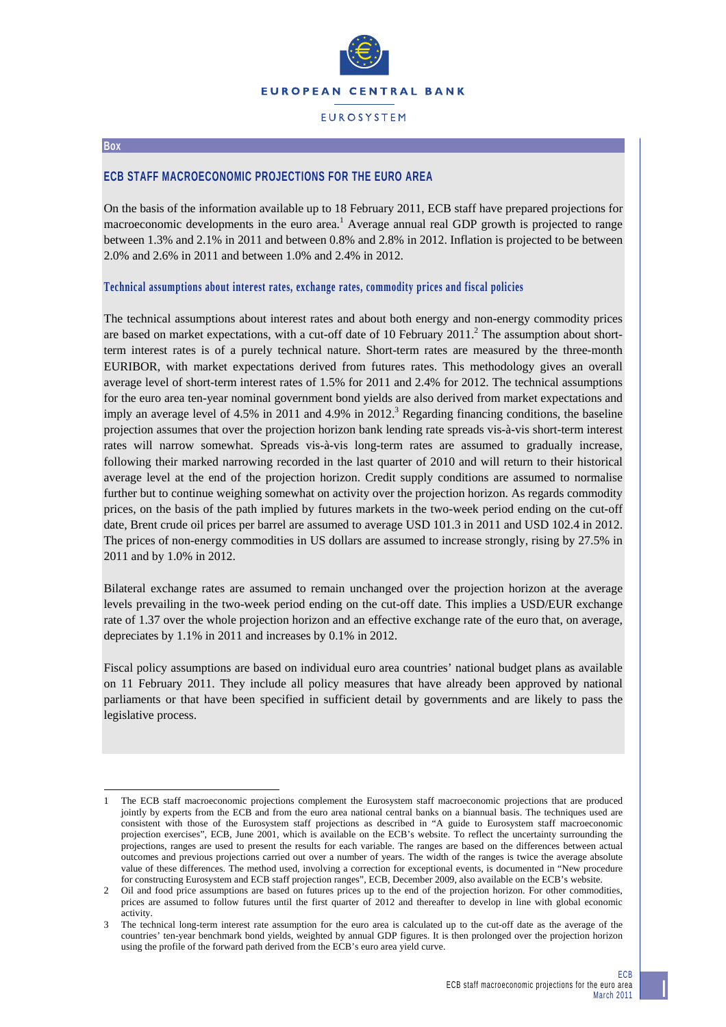

# **EUROSYSTEM**

#### **Box**

l

## **ECB STAFF MACROECONOMIC PROJECTIONS FOR THE EURO AREA**

On the basis of the information available up to 18 February 2011, ECB staff have prepared projections for macroeconomic developments in the euro area.<sup>1</sup> Average annual real GDP growth is projected to range between 1.3% and 2.1% in 2011 and between 0.8% and 2.8% in 2012. Inflation is projected to be between 2.0% and 2.6% in 2011 and between 1.0% and 2.4% in 2012.

### **Technical assumptions about interest rates, exchange rates, commodity prices and fiscal policies**

The technical assumptions about interest rates and about both energy and non-energy commodity prices are based on market expectations, with a cut-off date of 10 February  $2011$ <sup>2</sup>. The assumption about shortterm interest rates is of a purely technical nature. Short-term rates are measured by the three-month EURIBOR, with market expectations derived from futures rates. This methodology gives an overall average level of short-term interest rates of 1.5% for 2011 and 2.4% for 2012. The technical assumptions for the euro area ten-year nominal government bond yields are also derived from market expectations and imply an average level of 4.5% in 2011 and 4.9% in 2012.<sup>3</sup> Regarding financing conditions, the baseline projection assumes that over the projection horizon bank lending rate spreads vis-à-vis short-term interest rates will narrow somewhat. Spreads vis-à-vis long-term rates are assumed to gradually increase, following their marked narrowing recorded in the last quarter of 2010 and will return to their historical average level at the end of the projection horizon. Credit supply conditions are assumed to normalise further but to continue weighing somewhat on activity over the projection horizon. As regards commodity prices, on the basis of the path implied by futures markets in the two-week period ending on the cut-off date, Brent crude oil prices per barrel are assumed to average USD 101.3 in 2011 and USD 102.4 in 2012. The prices of non-energy commodities in US dollars are assumed to increase strongly, rising by 27.5% in 2011 and by 1.0% in 2012.

Bilateral exchange rates are assumed to remain unchanged over the projection horizon at the average levels prevailing in the two-week period ending on the cut-off date. This implies a USD/EUR exchange rate of 1.37 over the whole projection horizon and an effective exchange rate of the euro that, on average, depreciates by 1.1% in 2011 and increases by 0.1% in 2012.

Fiscal policy assumptions are based on individual euro area countries' national budget plans as available on 11 February 2011. They include all policy measures that have already been approved by national parliaments or that have been specified in sufficient detail by governments and are likely to pass the legislative process.

<sup>1</sup> The ECB staff macroeconomic projections complement the Eurosystem staff macroeconomic projections that are produced jointly by experts from the ECB and from the euro area national central banks on a biannual basis. The techniques used are consistent with those of the Eurosystem staff projections as described in "A guide to Eurosystem staff macroeconomic projection exercises", ECB, June 2001, which is available on the ECB's website. To reflect the uncertainty surrounding the projections, ranges are used to present the results for each variable. The ranges are based on the differences between actual outcomes and previous projections carried out over a number of years. The width of the ranges is twice the average absolute value of these differences. The method used, involving a correction for exceptional events, is documented in "New procedure for constructing Eurosystem and ECB staff projection ranges", ECB, December 2009, also available on the ECB's website.

<sup>2</sup> Oil and food price assumptions are based on futures prices up to the end of the projection horizon. For other commodities, prices are assumed to follow futures until the first quarter of 2012 and thereafter to develop in line with global economic activity.

The technical long-term interest rate assumption for the euro area is calculated up to the cut-off date as the average of the countries' ten-year benchmark bond yields, weighted by annual GDP figures. It is then prolonged over the projection horizon using the profile of the forward path derived from the ECB's euro area yield curve.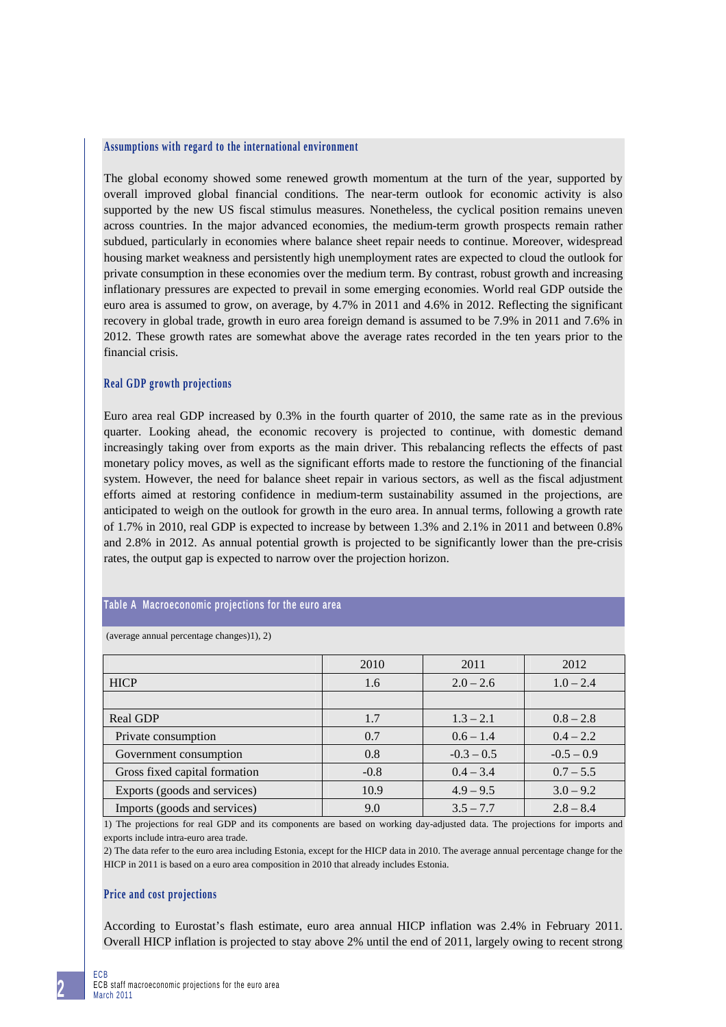#### **Assumptions with regard to the international environment**

The global economy showed some renewed growth momentum at the turn of the year, supported by overall improved global financial conditions. The near-term outlook for economic activity is also supported by the new US fiscal stimulus measures. Nonetheless, the cyclical position remains uneven across countries. In the major advanced economies, the medium-term growth prospects remain rather subdued, particularly in economies where balance sheet repair needs to continue. Moreover, widespread housing market weakness and persistently high unemployment rates are expected to cloud the outlook for private consumption in these economies over the medium term. By contrast, robust growth and increasing inflationary pressures are expected to prevail in some emerging economies. World real GDP outside the euro area is assumed to grow, on average, by 4.7% in 2011 and 4.6% in 2012. Reflecting the significant recovery in global trade, growth in euro area foreign demand is assumed to be 7.9% in 2011 and 7.6% in 2012. These growth rates are somewhat above the average rates recorded in the ten years prior to the financial crisis.

### **Real GDP growth projections**

Euro area real GDP increased by 0.3% in the fourth quarter of 2010, the same rate as in the previous quarter. Looking ahead, the economic recovery is projected to continue, with domestic demand increasingly taking over from exports as the main driver. This rebalancing reflects the effects of past monetary policy moves, as well as the significant efforts made to restore the functioning of the financial system. However, the need for balance sheet repair in various sectors, as well as the fiscal adjustment efforts aimed at restoring confidence in medium-term sustainability assumed in the projections, are anticipated to weigh on the outlook for growth in the euro area. In annual terms, following a growth rate of 1.7% in 2010, real GDP is expected to increase by between 1.3% and 2.1% in 2011 and between 0.8% and 2.8% in 2012. As annual potential growth is projected to be significantly lower than the pre-crisis rates, the output gap is expected to narrow over the projection horizon.

### **Table A Macroeconomic projections for the euro area**

|  | (average annual percentage changes)1), 2) |  |  |
|--|-------------------------------------------|--|--|
|--|-------------------------------------------|--|--|

|                               | 2010   | 2011         | 2012         |
|-------------------------------|--------|--------------|--------------|
| <b>HICP</b>                   | 1.6    | $2.0 - 2.6$  | $1.0 - 2.4$  |
|                               |        |              |              |
| <b>Real GDP</b>               | 1.7    | $1.3 - 2.1$  | $0.8 - 2.8$  |
| Private consumption           | 0.7    | $0.6 - 1.4$  | $0.4 - 2.2$  |
| Government consumption        | 0.8    | $-0.3 - 0.5$ | $-0.5 - 0.9$ |
| Gross fixed capital formation | $-0.8$ | $0.4 - 3.4$  | $0.7 - 5.5$  |
| Exports (goods and services)  | 10.9   | $4.9 - 9.5$  | $3.0 - 9.2$  |
| Imports (goods and services)  | 9.0    | $3.5 - 7.7$  | $2.8 - 8.4$  |

1) The projections for real GDP and its components are based on working day-adjusted data. The projections for imports and exports include intra-euro area trade.

2) The data refer to the euro area including Estonia, except for the HICP data in 2010. The average annual percentage change for the HICP in 2011 is based on a euro area composition in 2010 that already includes Estonia.

### **Price and cost projections**

According to Eurostat's flash estimate, euro area annual HICP inflation was 2.4% in February 2011. Overall HICP inflation is projected to stay above 2% until the end of 2011, largely owing to recent strong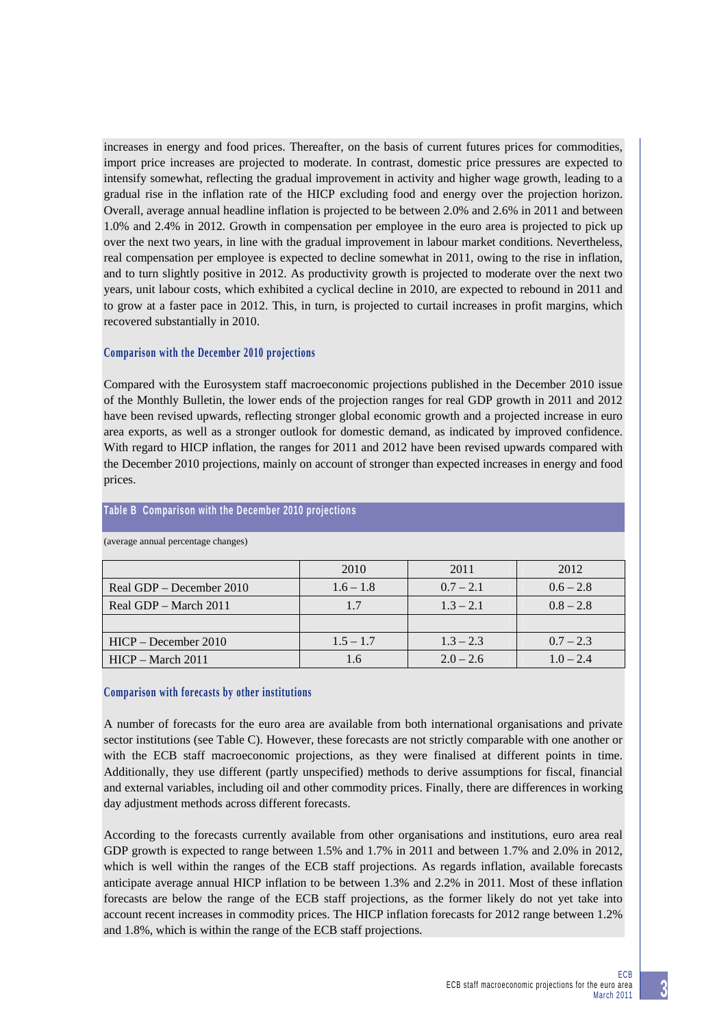increases in energy and food prices. Thereafter, on the basis of current futures prices for commodities, import price increases are projected to moderate. In contrast, domestic price pressures are expected to intensify somewhat, reflecting the gradual improvement in activity and higher wage growth, leading to a gradual rise in the inflation rate of the HICP excluding food and energy over the projection horizon. Overall, average annual headline inflation is projected to be between 2.0% and 2.6% in 2011 and between 1.0% and 2.4% in 2012. Growth in compensation per employee in the euro area is projected to pick up over the next two years, in line with the gradual improvement in labour market conditions. Nevertheless, real compensation per employee is expected to decline somewhat in 2011, owing to the rise in inflation, and to turn slightly positive in 2012. As productivity growth is projected to moderate over the next two years, unit labour costs, which exhibited a cyclical decline in 2010, are expected to rebound in 2011 and to grow at a faster pace in 2012. This, in turn, is projected to curtail increases in profit margins, which recovered substantially in 2010.

## **Comparison with the December 2010 projections**

Compared with the Eurosystem staff macroeconomic projections published in the December 2010 issue of the Monthly Bulletin, the lower ends of the projection ranges for real GDP growth in 2011 and 2012 have been revised upwards, reflecting stronger global economic growth and a projected increase in euro area exports, as well as a stronger outlook for domestic demand, as indicated by improved confidence. With regard to HICP inflation, the ranges for 2011 and 2012 have been revised upwards compared with the December 2010 projections, mainly on account of stronger than expected increases in energy and food prices.

|                          | 2010        | 2011        | 2012        |
|--------------------------|-------------|-------------|-------------|
| Real GDP – December 2010 | $1.6 - 1.8$ | $0.7 - 2.1$ | $0.6 - 2.8$ |
| Real GDP – March 2011    | 1.7         | $1.3 - 2.1$ | $0.8 - 2.8$ |
|                          |             |             |             |
| $HICP - December 2010$   | $1.5 - 1.7$ | $1.3 - 2.3$ | $0.7 - 2.3$ |
| $HICP - March 2011$      | 1.6         | $2.0 - 2.6$ | $1.0 - 2.4$ |

**Table B Comparison with the December 2010 projections** 

(average annual percentage changes)

### **Comparison with forecasts by other institutions**

A number of forecasts for the euro area are available from both international organisations and private sector institutions (see Table C). However, these forecasts are not strictly comparable with one another or with the ECB staff macroeconomic projections, as they were finalised at different points in time. Additionally, they use different (partly unspecified) methods to derive assumptions for fiscal, financial and external variables, including oil and other commodity prices. Finally, there are differences in working day adjustment methods across different forecasts.

According to the forecasts currently available from other organisations and institutions, euro area real GDP growth is expected to range between 1.5% and 1.7% in 2011 and between 1.7% and 2.0% in 2012, which is well within the ranges of the ECB staff projections. As regards inflation, available forecasts anticipate average annual HICP inflation to be between 1.3% and 2.2% in 2011. Most of these inflation forecasts are below the range of the ECB staff projections, as the former likely do not yet take into account recent increases in commodity prices. The HICP inflation forecasts for 2012 range between 1.2% and 1.8%, which is within the range of the ECB staff projections.

**3**